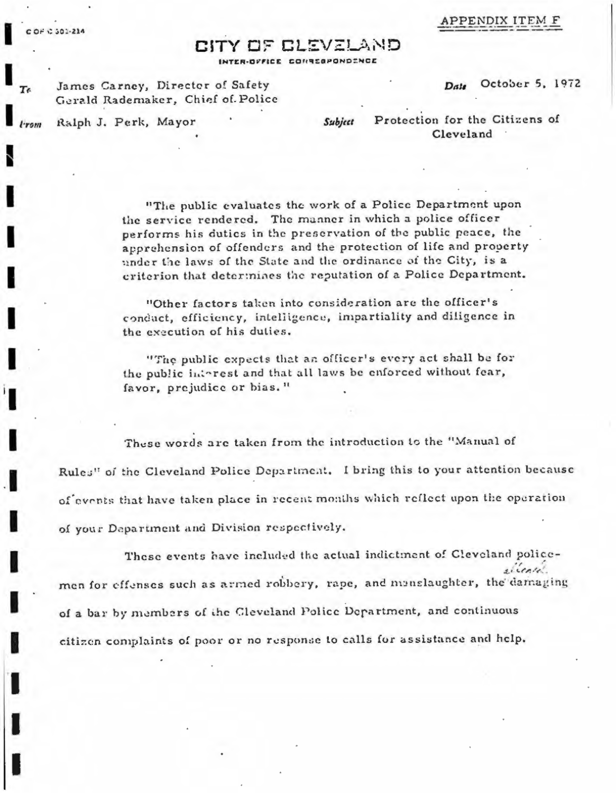## APPENDIX ITEM

## סוגת בעד היה את הי

INTER-OFFICE CONNECPONDENCE

James Carney, Director of Safety Gerald Rademaker, Chief of Police

October 5, 1972 Date

Ralph J. Perk, Mayor

Subject

Protection for the Citizens of Cleveland

"The public evaluates the work of a Police Department upon the service rendered. The manner in which a police officer performs his dutics in the preservation of the public peace, the apprehension of offenders and the protection of life and property under the laws of the State and the ordinance of the City, is a criterion that determines the reputation of a Police Department.

"Other factors taken into consideration are the officer's conduct, efficiency, intelligence, impartiality and diligence in the execution of his duties.

"The public expects that an officer's every act shall be for the public interest and that all laws be enforced without fear, favor, prejudice or bias."

These words are taken from the introduction to the "Manual of Rules" of the Cleveland Police Department. I bring this to your attention because of events that have taken place in recent months which reflect upon the operation of your Department and Division respectively.

These events have included the actual indictment of Cleveland policesicenti. men for effenses such as armed robbery, rape, and menslaughter, the damaging of a bar by members of the Cleveland Police Department, and continuous citizen complaints of poor or no response to calls for assistance and help.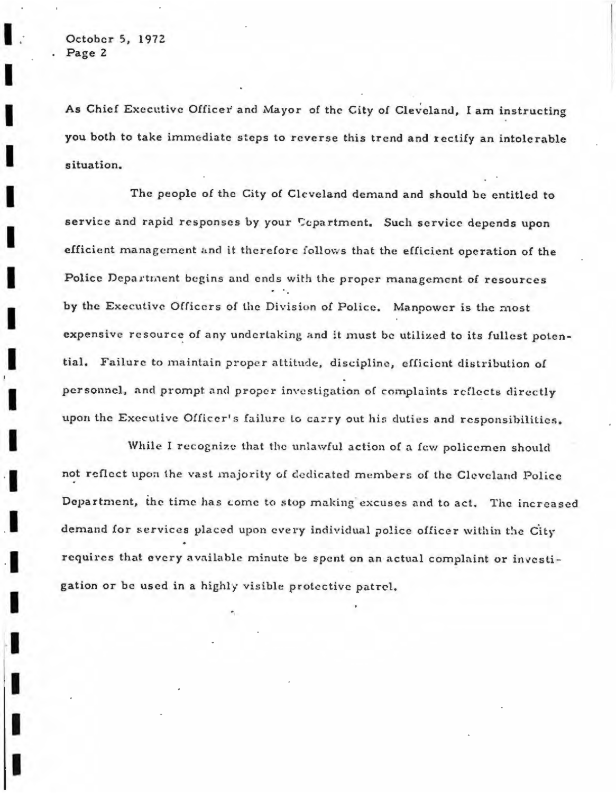As Chief Executive Officer and Mayor of the City of Cleveland, I am instructing you both to take immediate steps to reverse this trend and rectify an intolerable situation.

The people of the City of Cleveland demand and should be entitled to service and rapid responses by your Cepartment. Such service depends upon efficient management and it therefore follows that the efficient operation of the Police Department begins and ends with the proper management of resources by the Executive Officers of the Division of Police. Manpower is the most expensive resource of any undertaking and it must be utilized to its fullest potential. Failure to maintain proper attitude, discipline, efficient distribution of personnel, and prompt and proper investigation of complaints reflects directly upon the Executive Officer's failure to carry out his duties and responsibilities.

While I recognize that the unlawful action of a few policemen should not reflect upon the vast majority of dedicated members of the Cleveland Police Department, the time has come to stop making excuses and to act. The increased demand for services placed upon every individual police officer within the City requires that every available minute be spent on an actual complaint or investigation or be used in a highly visible protective patrel.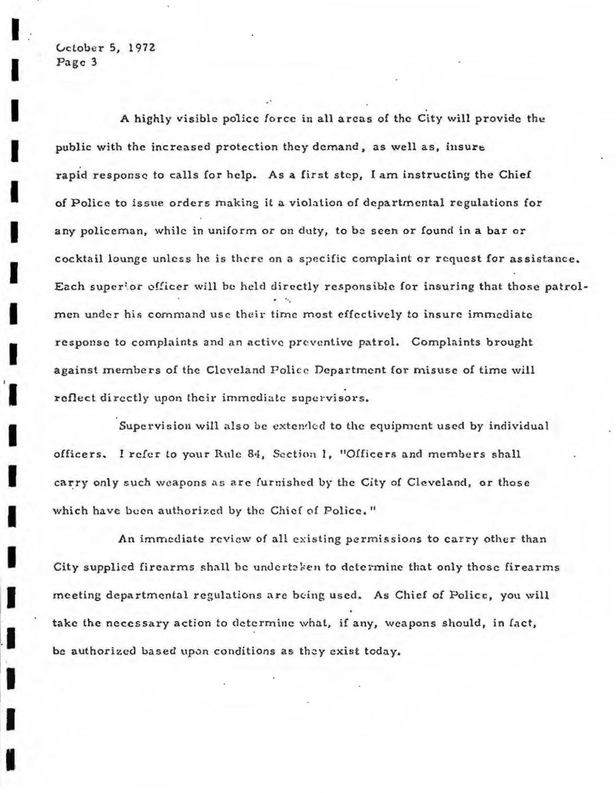A highly visible police force in all areas of the City will provide the public with the increased protection they demand, as well as, insure rapid response to calls for help. As a first step, I am instructing the Chief of Police to issue orders making it a violation of departmental regulations for any policeman, while in uniform or on duty, to be seen or found in a bar or cocktail lounge unless he is there on a specific complaint or request for assistance. Each superior officer will be held directly responsible for insuring that those patrolmen under his command use their time most effectively to insure immediate response to complaints and an active preventive patrol. Complaints brought against members of the Cleveland Police Department for misuse of time will reflect directly upon their immediate supervisors.

Supervision will also be extended to the equipment used by individual officers. I refer to your Rule 84, Section 1, "Officers and members shall carry only such weapons as are furnished by the City of Cleveland, or those which have been authorized by the Chief of Police."

An immediate review of all existing permissions to carry other than City supplied firearms shall be undertaken to determine that only those firearms meeting departmental regulations are being used. As Chief of Police, you will take the necessary action to determine what, if any, weapons should, in fact, be authorized based upon conditions as they exist today.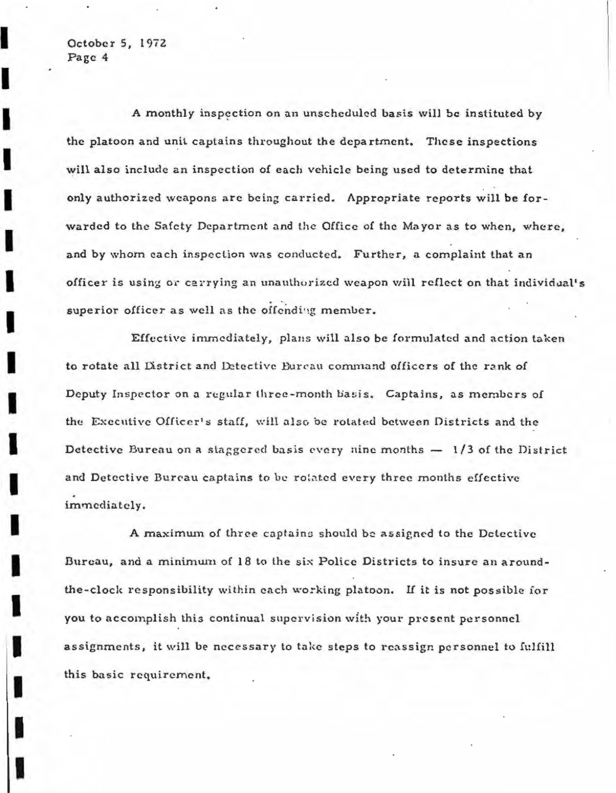I

A monthly inspection on an unscheduled basis will be instituted by the platoon and unit captains throughout the department. These inspections will also include an inspection of each vehicle being used to determine that only authorized weapons are being carried. Appropriate reports will be forwarded to the Safety Department and the Office of the Mayor as to when, where, and by whom each inspection was conducted. Further, a complaint that an officer is using or carrying an unauthorized weapon will reflect on that individual's superior officer as well as the offending member.

Effective immediately, plans will also be formulated and action taken to rotate all District and Detective Bureau command officers of the rank of Deputy Inspector on a regular three-month basis. Captains, as members of the Executive Officer's staff, will also be rotated between Districts and the Detective Bureau on a staggered basis every nine months  $-1/3$  of the District and Detective Bureau captains to be rolated every three months effective immediately.

A maximum of three captains should be assigned to the Detective Bureau, and a minimum of 18 to the six Police Districts to insure an aroundthe-clock responsibility within each working platoon. If it is not possible for you to accomplish this continual supervision with your present personnel assignments, it will be necessary to take steps to reassign personnel to fulfill this basic requirement.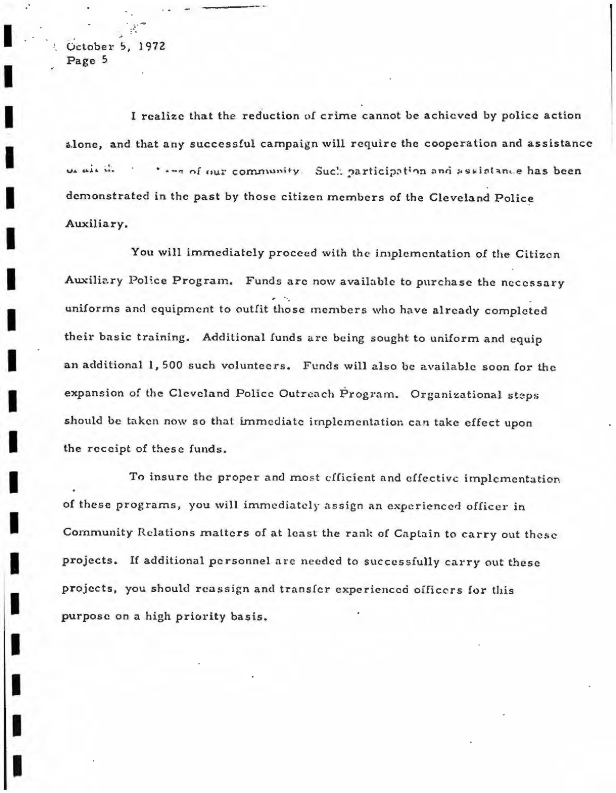I realize that the reduction of crime cannot be achieved by police action alone, and that any successful campaign will require the cooperation and assistance us air in \* .-- of our community. Such participation and assistance has been demonstrated in the past by those citizen members of the Cleveland Police Auxiliary.

You will immediately proceed with the implementation of the Citizen Auxiliary Police Program. Funds are now available to purchase the necessary uniforms and equipment to outfit those members who have already completed their basic training. Additional funds are being sought to uniform and equip an additional 1,500 such volunteers. Funds will also be available soon for the expansion of the Cleveland Police Outreach Program. Organizational steps should be taken now so that immediate implementation can take effect upon the receipt of these funds.

To insure the proper and most efficient and effective implementation of these programs, you will immediately assign an experienced officer in Community Relations matters of at least the rank of Captain to carry out these projects. If additional personnel are needed to successfully carry out these projects, you should reassign and transfer experienced officers for this purpose on a high priority basis.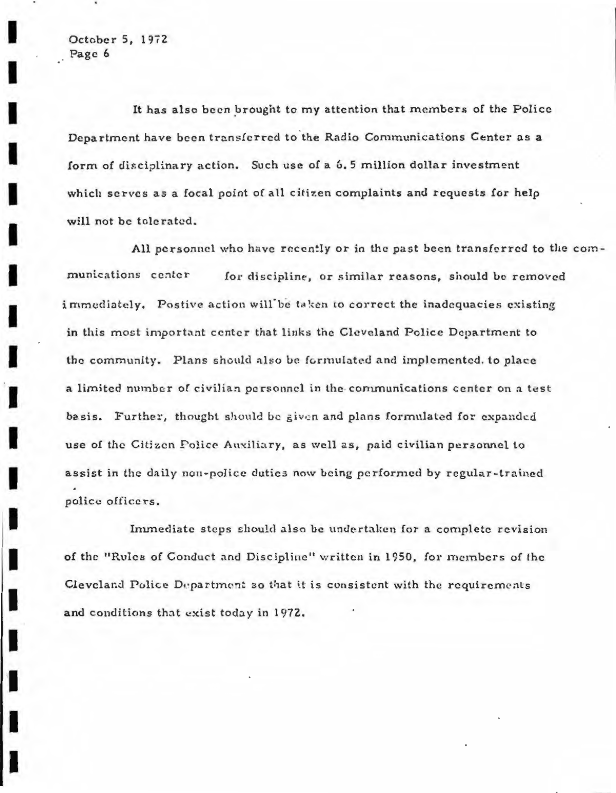It has also been brought to my attention that members of the Police Department have been transferred to the Radio Communications Center as a form of disciplinary action. Such use of a 6.5 million dollar investment which serves as a focal point of all citizen complaints and requests for help will not be tolerated.

All personnel who have recently or in the past been transferred to the communications center for discipline, or similar reasons, should be removed immediately. Postive action will be taken to correct the inadequacies existing in this most important center that links the Cleveland Police Department to the community. Plans should also be formulated and implemented, to place a limited number of civilian personnel in the communications center on a test basis. Further, thought should be given and plans formulated for expanded use of the Citizen Police Auxiliary, as well as, paid civilian personnel to assist in the daily non-police duties now being performed by regular-trained police officers.

Immediate steps should also be undertaken for a complete revision of the "Rules of Conduct and Discipline" written in 1950, for members of the Cleveland Police Department so that it is consistent with the requirements and conditions that exist today in 1972.